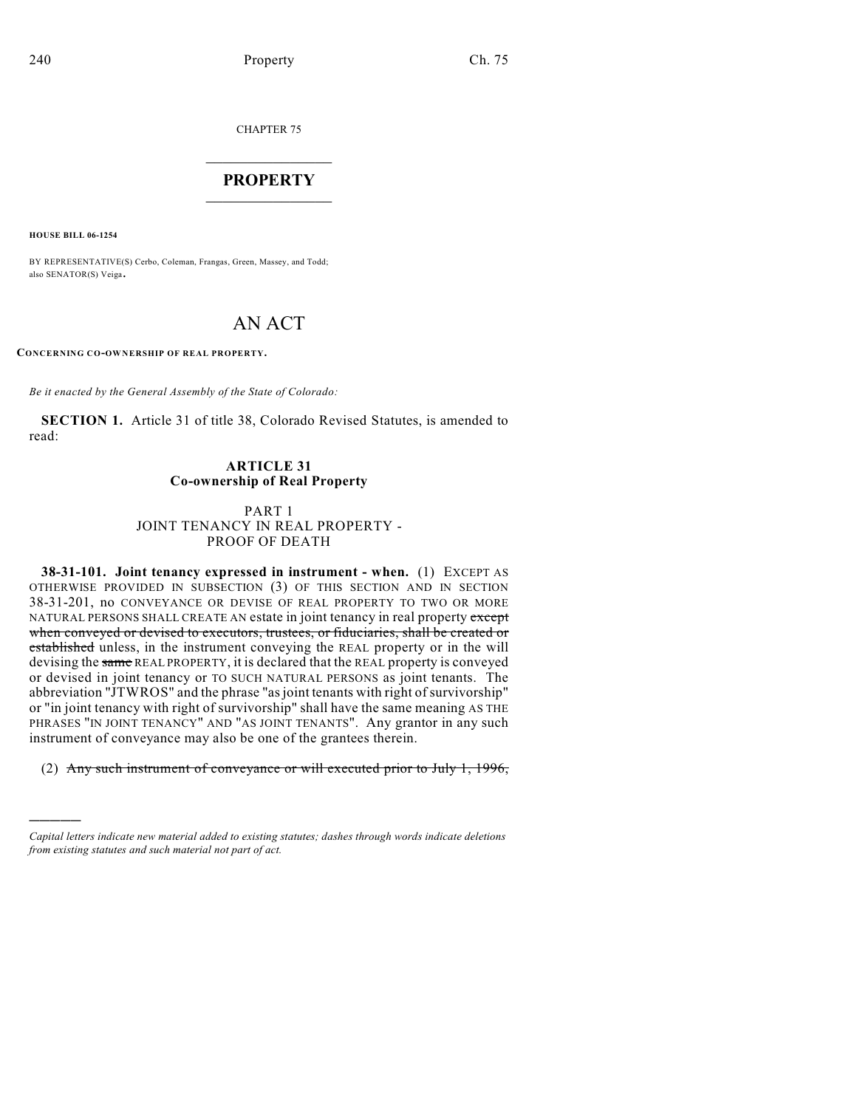CHAPTER 75

## $\overline{\phantom{a}}$  . The set of the set of the set of the set of the set of the set of the set of the set of the set of the set of the set of the set of the set of the set of the set of the set of the set of the set of the set o **PROPERTY**  $\_$   $\_$   $\_$   $\_$   $\_$   $\_$   $\_$   $\_$   $\_$

**HOUSE BILL 06-1254**

)))))

BY REPRESENTATIVE(S) Cerbo, Coleman, Frangas, Green, Massey, and Todd; also SENATOR(S) Veiga.

# AN ACT

**CONCERNING CO-OWNERSHIP OF REAL PROPERTY.**

*Be it enacted by the General Assembly of the State of Colorado:*

**SECTION 1.** Article 31 of title 38, Colorado Revised Statutes, is amended to read:

## **ARTICLE 31 Co-ownership of Real Property**

#### PART 1 JOINT TENANCY IN REAL PROPERTY - PROOF OF DEATH

**38-31-101. Joint tenancy expressed in instrument - when.** (1) EXCEPT AS OTHERWISE PROVIDED IN SUBSECTION (3) OF THIS SECTION AND IN SECTION 38-31-201, no CONVEYANCE OR DEVISE OF REAL PROPERTY TO TWO OR MORE NATURAL PERSONS SHALL CREATE AN estate in joint tenancy in real property except when conveyed or devised to executors, trustees, or fiduciaries, shall be created or established unless, in the instrument conveying the REAL property or in the will devising the same REAL PROPERTY, it is declared that the REAL property is conveyed or devised in joint tenancy or TO SUCH NATURAL PERSONS as joint tenants. The abbreviation "JTWROS" and the phrase "asjoint tenants with right of survivorship" or "in joint tenancy with right of survivorship" shall have the same meaning AS THE PHRASES "IN JOINT TENANCY" AND "AS JOINT TENANTS". Any grantor in any such instrument of conveyance may also be one of the grantees therein.

(2) Any such instrument of conveyance or will executed prior to July 1, 1996,

*Capital letters indicate new material added to existing statutes; dashes through words indicate deletions from existing statutes and such material not part of act.*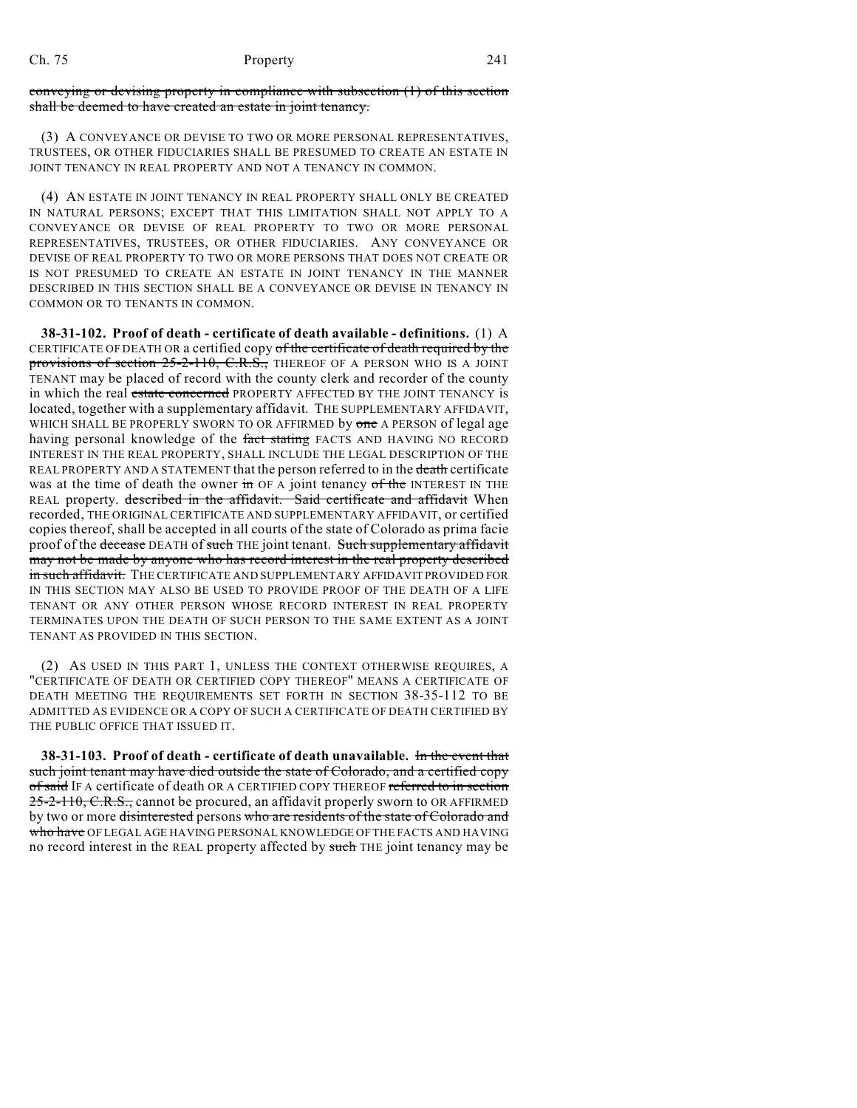### Ch. 75 Property 241

conveying or devising property in compliance with subsection (1) of this section shall be deemed to have created an estate in joint tenancy.

(3) A CONVEYANCE OR DEVISE TO TWO OR MORE PERSONAL REPRESENTATIVES, TRUSTEES, OR OTHER FIDUCIARIES SHALL BE PRESUMED TO CREATE AN ESTATE IN JOINT TENANCY IN REAL PROPERTY AND NOT A TENANCY IN COMMON.

(4) AN ESTATE IN JOINT TENANCY IN REAL PROPERTY SHALL ONLY BE CREATED IN NATURAL PERSONS; EXCEPT THAT THIS LIMITATION SHALL NOT APPLY TO A CONVEYANCE OR DEVISE OF REAL PROPERTY TO TWO OR MORE PERSONAL REPRESENTATIVES, TRUSTEES, OR OTHER FIDUCIARIES. ANY CONVEYANCE OR DEVISE OF REAL PROPERTY TO TWO OR MORE PERSONS THAT DOES NOT CREATE OR IS NOT PRESUMED TO CREATE AN ESTATE IN JOINT TENANCY IN THE MANNER DESCRIBED IN THIS SECTION SHALL BE A CONVEYANCE OR DEVISE IN TENANCY IN COMMON OR TO TENANTS IN COMMON.

**38-31-102. Proof of death - certificate of death available - definitions.** (1) A CERTIFICATE OF DEATH OR a certified copy of the certificate of death required by the provisions of section 25-2-110, C.R.S., THEREOF OF A PERSON WHO IS A JOINT TENANT may be placed of record with the county clerk and recorder of the county in which the real estate concerned PROPERTY AFFECTED BY THE JOINT TENANCY is located, together with a supplementary affidavit. THE SUPPLEMENTARY AFFIDAVIT, WHICH SHALL BE PROPERLY SWORN TO OR AFFIRMED by one A PERSON of legal age having personal knowledge of the fact stating FACTS AND HAVING NO RECORD INTEREST IN THE REAL PROPERTY, SHALL INCLUDE THE LEGAL DESCRIPTION OF THE REAL PROPERTY AND A STATEMENT that the person referred to in the death certificate was at the time of death the owner in OF A joint tenancy of the INTEREST IN THE REAL property. described in the affidavit. Said certificate and affidavit When recorded, THE ORIGINAL CERTIFICATE AND SUPPLEMENTARY AFFIDAVIT, or certified copies thereof, shall be accepted in all courts of the state of Colorado as prima facie proof of the decease DEATH of such THE joint tenant. Such supplementary affidavit may not be made by anyone who has record interest in the real property described in such affidavit. THE CERTIFICATE AND SUPPLEMENTARY AFFIDAVIT PROVIDED FOR IN THIS SECTION MAY ALSO BE USED TO PROVIDE PROOF OF THE DEATH OF A LIFE TENANT OR ANY OTHER PERSON WHOSE RECORD INTEREST IN REAL PROPERTY TERMINATES UPON THE DEATH OF SUCH PERSON TO THE SAME EXTENT AS A JOINT TENANT AS PROVIDED IN THIS SECTION.

(2) AS USED IN THIS PART 1, UNLESS THE CONTEXT OTHERWISE REQUIRES, A "CERTIFICATE OF DEATH OR CERTIFIED COPY THEREOF" MEANS A CERTIFICATE OF DEATH MEETING THE REQUIREMENTS SET FORTH IN SECTION 38-35-112 TO BE ADMITTED AS EVIDENCE OR A COPY OF SUCH A CERTIFICATE OF DEATH CERTIFIED BY THE PUBLIC OFFICE THAT ISSUED IT.

**38-31-103. Proof of death - certificate of death unavailable.** In the event that such joint tenant may have died outside the state of Colorado, and a certified copy of said IF A certificate of death OR A CERTIFIED COPY THEREOF referred to in section 25-2-110, C.R.S., cannot be procured, an affidavit properly sworn to OR AFFIRMED by two or more <del>disinterested</del> persons who are residents of the state of Colorado and who have OF LEGAL AGE HAVING PERSONAL KNOWLEDGE OF THE FACTS AND HAVING no record interest in the REAL property affected by such THE joint tenancy may be